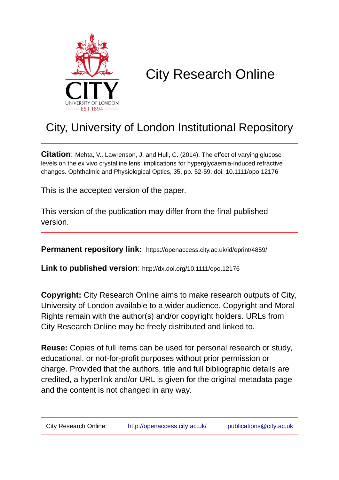

# City Research Online

# City, University of London Institutional Repository

**Citation**: Mehta, V., Lawrenson, J. and Hull, C. (2014). The effect of varying glucose levels on the ex vivo crystalline lens: implications for hyperglycaemia-induced refractive changes. Ophthalmic and Physiological Optics, 35, pp. 52-59. doi: 10.1111/opo.12176

This is the accepted version of the paper.

This version of the publication may differ from the final published version.

**Permanent repository link:** https://openaccess.city.ac.uk/id/eprint/4859/

**Link to published version**: http://dx.doi.org/10.1111/opo.12176

**Copyright:** City Research Online aims to make research outputs of City, University of London available to a wider audience. Copyright and Moral Rights remain with the author(s) and/or copyright holders. URLs from City Research Online may be freely distributed and linked to.

**Reuse:** Copies of full items can be used for personal research or study, educational, or not-for-profit purposes without prior permission or charge. Provided that the authors, title and full bibliographic details are credited, a hyperlink and/or URL is given for the original metadata page and the content is not changed in any way.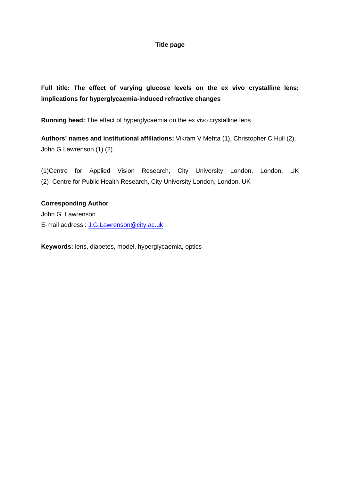## **Title page**

**Full title: The effect of varying glucose levels on the ex vivo crystalline lens; implications for hyperglycaemia-induced refractive changes**

**Running head:** The effect of hyperglycaemia on the ex vivo crystalline lens

**Authors' names and institutional affiliations:** Vikram V Mehta (1), Christopher C Hull (2), John G Lawrenson (1) (2)

(1)Centre for Applied Vision Research, City University London, London, UK (2) Centre for Public Health Research, City University London, London, UK

**Corresponding Author** John G. Lawrenson E-mail address : [J.G.Lawrenson@city.ac.uk](mailto:J.G.Lawrenson@city.ac.uk)

**Keywords:** lens, diabetes, model, hyperglycaemia, optics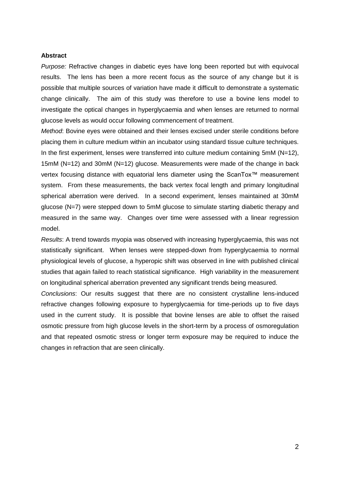#### **Abstract**

*Purpose:* Refractive changes in diabetic eyes have long been reported but with equivocal results. The lens has been a more recent focus as the source of any change but it is possible that multiple sources of variation have made it difficult to demonstrate a systematic change clinically. The aim of this study was therefore to use a bovine lens model to investigate the optical changes in hyperglycaemia and when lenses are returned to normal glucose levels as would occur following commencement of treatment.

*Method*: Bovine eyes were obtained and their lenses excised under sterile conditions before placing them in culture medium within an incubator using standard tissue culture techniques. In the first experiment, lenses were transferred into culture medium containing 5mM (N=12), 15mM (N=12) and 30mM (N=12) glucose. Measurements were made of the change in back vertex focusing distance with equatorial lens diameter using the ScanTox™ measurement system. From these measurements, the back vertex focal length and primary longitudinal spherical aberration were derived. In a second experiment, lenses maintained at 30mM glucose (N=7) were stepped down to 5mM glucose to simulate starting diabetic therapy and measured in the same way. Changes over time were assessed with a linear regression model.

*Results*: A trend towards myopia was observed with increasing hyperglycaemia, this was not statistically significant. When lenses were stepped-down from hyperglycaemia to normal physiological levels of glucose, a hyperopic shift was observed in line with published clinical studies that again failed to reach statistical significance. High variability in the measurement on longitudinal spherical aberration prevented any significant trends being measured.

*Conclusions*: Our results suggest that there are no consistent crystalline lens-induced refractive changes following exposure to hyperglycaemia for time-periods up to five days used in the current study. It is possible that bovine lenses are able to offset the raised osmotic pressure from high glucose levels in the short-term by a process of osmoregulation and that repeated osmotic stress or longer term exposure may be required to induce the changes in refraction that are seen clinically.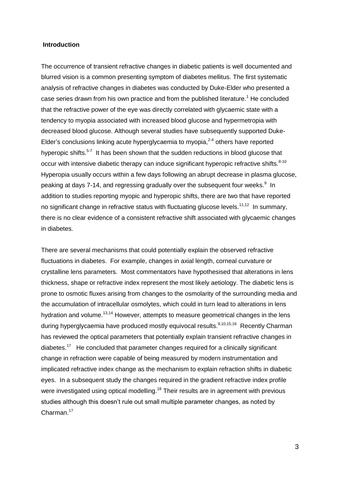#### **Introduction**

The occurrence of transient refractive changes in diabetic patients is well documented and blurred vision is a common presenting symptom of diabetes mellitus. The first systematic analysis of refractive changes in diabetes was conducted by Duke-Elder who presented a case series drawn from his own practice and from the published literature.<sup>1</sup> He concluded that the refractive power of the eye was directly correlated with glycaemic state with a tendency to myopia associated with increased blood glucose and hypermetropia with decreased blood glucose. Although several studies have subsequently supported Duke-Elder's conclusions linking acute hyperglycaemia to myopia, $2-4$  others have reported hyperopic shifts.<sup>5-7</sup> It has been shown that the sudden reductions in blood glucose that occur with intensive diabetic therapy can induce significant hyperopic refractive shifts.<sup>8-10</sup> Hyperopia usually occurs within a few days following an abrupt decrease in plasma glucose, peaking at days 7-14, and regressing gradually over the subsequent four weeks.<sup>9</sup> In addition to studies reporting myopic and hyperopic shifts, there are two that have reported no significant change in refractive status with fluctuating glucose levels.<sup>11,12</sup> In summary, there is no clear evidence of a consistent refractive shift associated with glycaemic changes in diabetes.

There are several mechanisms that could potentially explain the observed refractive fluctuations in diabetes. For example, changes in axial length, corneal curvature or crystalline lens parameters. Most commentators have hypothesised that alterations in lens thickness, shape or refractive index represent the most likely aetiology. The diabetic lens is prone to osmotic fluxes arising from changes to the osmolarity of the surrounding media and the accumulation of intracellular osmolytes, which could in turn lead to alterations in lens hydration and volume.<sup>13,14</sup> However, attempts to measure geometrical changes in the lens during hyperglycaemia have produced mostly equivocal results.<sup>9,10,15,16</sup> Recently Charman has reviewed the optical parameters that potentially explain transient refractive changes in diabetes.<sup>17</sup> He concluded that parameter changes required for a clinically significant change in refraction were capable of being measured by modern instrumentation and implicated refractive index change as the mechanism to explain refraction shifts in diabetic eyes. In a subsequent study the changes required in the gradient refractive index profile were investigated using optical modelling.<sup>18</sup> Their results are in agreement with previous studies although this doesn't rule out small multiple parameter changes, as noted by Charman.<sup>17</sup>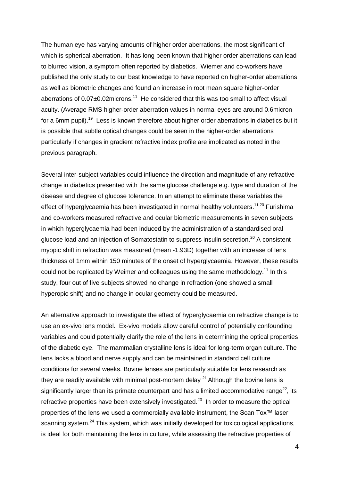The human eye has varying amounts of higher order aberrations, the most significant of which is spherical aberration. It has long been known that higher order aberrations can lead to blurred vision, a symptom often reported by diabetics. Wiemer and co-workers have published the only study to our best knowledge to have reported on higher-order aberrations as well as biometric changes and found an increase in root mean square higher-order aberrations of  $0.07\pm0.02$  microns.<sup>11</sup> He considered that this was too small to affect visual acuity. (Average RMS higher-order aberration values in normal eyes are around 0.6micron for a 6mm pupil).<sup>19</sup> Less is known therefore about higher order aberrations in diabetics but it is possible that subtle optical changes could be seen in the higher-order aberrations particularly if changes in gradient refractive index profile are implicated as noted in the previous paragraph.

Several inter-subject variables could influence the direction and magnitude of any refractive change in diabetics presented with the same glucose challenge e.g. type and duration of the disease and degree of glucose tolerance. In an attempt to eliminate these variables the effect of hyperglycaemia has been investigated in normal healthy volunteers.<sup>11,20</sup> Furishima and co-workers measured refractive and ocular biometric measurements in seven subjects in which hyperglycaemia had been induced by the administration of a standardised oral glucose load and an injection of Somatostatin to suppress insulin secretion.<sup>20</sup> A consistent myopic shift in refraction was measured (mean -1.93D) together with an increase of lens thickness of 1mm within 150 minutes of the onset of hyperglycaemia. However, these results could not be replicated by Weimer and colleagues using the same methodology.<sup>11</sup> In this study, four out of five subjects showed no change in refraction (one showed a small hyperopic shift) and no change in ocular geometry could be measured.

An alternative approach to investigate the effect of hyperglycaemia on refractive change is to use an ex-vivo lens model. Ex-vivo models allow careful control of potentially confounding variables and could potentially clarify the role of the lens in determining the optical properties of the diabetic eye. The mammalian crystalline lens is ideal for long-term organ culture. The lens lacks a blood and nerve supply and can be maintained in standard cell culture conditions for several weeks. Bovine lenses are particularly suitable for lens research as they are readily available with minimal post-mortem delay  $21$  Although the bovine lens is significantly larger than its primate counterpart and has a limited accommodative range<sup>22</sup>, its refractive properties have been extensively investigated. $23$  In order to measure the optical properties of the lens we used a commercially available instrument, the Scan Tox™ laser scanning system.<sup>24</sup> This system, which was initially developed for toxicological applications, is ideal for both maintaining the lens in culture, while assessing the refractive properties of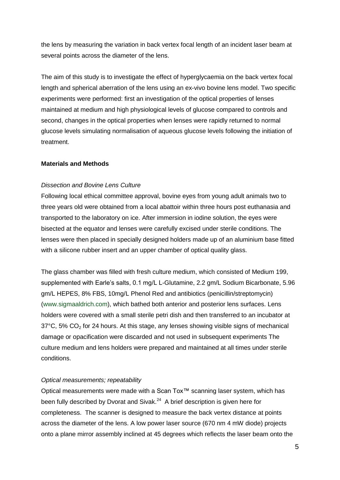the lens by measuring the variation in back vertex focal length of an incident laser beam at several points across the diameter of the lens.

The aim of this study is to investigate the effect of hyperglycaemia on the back vertex focal length and spherical aberration of the lens using an ex-vivo bovine lens model. Two specific experiments were performed: first an investigation of the optical properties of lenses maintained at medium and high physiological levels of glucose compared to controls and second, changes in the optical properties when lenses were rapidly returned to normal glucose levels simulating normalisation of aqueous glucose levels following the initiation of treatment.

#### **Materials and Methods**

#### *Dissection and Bovine Lens Culture*

Following local ethical committee approval, bovine eyes from young adult animals two to three years old were obtained from a local abattoir within three hours post euthanasia and transported to the laboratory on ice. After immersion in iodine solution, the eyes were bisected at the equator and lenses were carefully excised under sterile conditions. The lenses were then placed in specially designed holders made up of an aluminium base fitted with a silicone rubber insert and an upper chamber of optical quality glass.

The glass chamber was filled with fresh culture medium, which consisted of Medium 199, supplemented with Earle's salts, 0.1 mg/L L-Glutamine, 2.2 gm/L Sodium Bicarbonate, 5.96 gm/L HEPES, 8% FBS, 10mg/L Phenol Red and antibiotics (penicillin/streptomycin) (www.sigmaaldrich.com), which bathed both anterior and posterior lens surfaces. Lens holders were covered with a small sterile petri dish and then transferred to an incubator at  $37^{\circ}$ C, 5% CO<sub>2</sub> for 24 hours. At this stage, any lenses showing visible signs of mechanical damage or opacification were discarded and not used in subsequent experiments The culture medium and lens holders were prepared and maintained at all times under sterile conditions.

#### *Optical measurements; repeatability*

Optical measurements were made with a Scan Tox™ scanning laser system, which has been fully described by Dvorat and Sivak.<sup>24</sup> A brief description is given here for completeness. The scanner is designed to measure the back vertex distance at points across the diameter of the lens. A low power laser source (670 nm 4 mW diode) projects onto a plane mirror assembly inclined at 45 degrees which reflects the laser beam onto the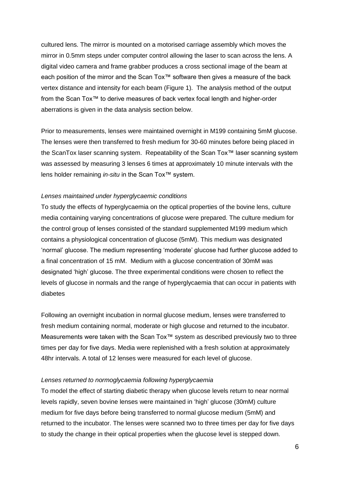cultured lens. The mirror is mounted on a motorised carriage assembly which moves the mirror in 0.5mm steps under computer control allowing the laser to scan across the lens. A digital video camera and frame grabber produces a cross sectional image of the beam at each position of the mirror and the Scan Tox™ software then gives a measure of the back vertex distance and intensity for each beam (Figure 1). The analysis method of the output from the Scan Tox™ to derive measures of back vertex focal length and higher-order aberrations is given in the data analysis section below.

Prior to measurements, lenses were maintained overnight in M199 containing 5mM glucose. The lenses were then transferred to fresh medium for 30-60 minutes before being placed in the ScanTox laser scanning system. Repeatability of the Scan Tox™ laser scanning system was assessed by measuring 3 lenses 6 times at approximately 10 minute intervals with the lens holder remaining *in-situ* in the Scan Tox™ system.

#### *Lenses maintained under hyperglycaemic conditions*

To study the effects of hyperglycaemia on the optical properties of the bovine lens, culture media containing varying concentrations of glucose were prepared. The culture medium for the control group of lenses consisted of the standard supplemented M199 medium which contains a physiological concentration of glucose (5mM). This medium was designated 'normal' glucose. The medium representing 'moderate' glucose had further glucose added to a final concentration of 15 mM. Medium with a glucose concentration of 30mM was designated 'high' glucose. The three experimental conditions were chosen to reflect the levels of glucose in normals and the range of hyperglycaemia that can occur in patients with diabetes

Following an overnight incubation in normal glucose medium, lenses were transferred to fresh medium containing normal, moderate or high glucose and returned to the incubator. Measurements were taken with the Scan Tox™ system as described previously two to three times per day for five days. Media were replenished with a fresh solution at approximately 48hr intervals. A total of 12 lenses were measured for each level of glucose.

#### *Lenses returned to normoglycaemia following hyperglycaemia*

To model the effect of starting diabetic therapy when glucose levels return to near normal levels rapidly, seven bovine lenses were maintained in 'high' glucose (30mM) culture medium for five days before being transferred to normal glucose medium (5mM) and returned to the incubator. The lenses were scanned two to three times per day for five days to study the change in their optical properties when the glucose level is stepped down.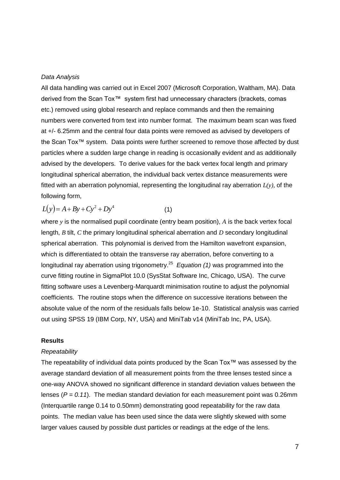#### *Data Analysis*

All data handling was carried out in Excel 2007 (Microsoft Corporation, Waltham, MA). Data derived from the Scan Tox™ system first had unnecessary characters (brackets, comas etc.) removed using global research and replace commands and then the remaining numbers were converted from text into number format. The maximum beam scan was fixed at +/- 6.25mm and the central four data points were removed as advised by developers of the Scan Tox™ system. Data points were further screened to remove those affected by dust particles where a sudden large change in reading is occasionally evident and as additionally advised by the developers. To derive values for the back vertex focal length and primary longitudinal spherical aberration, the individual back vertex distance measurements were fitted with an aberration polynomial, representing the longitudinal ray aberration *L(y),* of the following form,

$$
L(y) = A + By + Cy^{2} + Dy^{4}
$$
 (1)

where *y* is the normalised pupil coordinate (entry beam position), *A* is the back vertex focal length, *B* tilt, *C* the primary longitudinal spherical aberration and *D* secondary longitudinal spherical aberration. This polynomial is derived from the Hamilton wavefront expansion, which is differentiated to obtain the transverse ray aberration, before converting to a longitudinal ray aberration using trigonometry.<sup>25</sup> Equation (1) was programmed into the curve fitting routine in SigmaPlot 10.0 (SysStat Software Inc, Chicago, USA). The curve fitting software uses a Levenberg-Marquardt minimisation routine to adjust the polynomial coefficients. The routine stops when the difference on successive iterations between the absolute value of the norm of the residuals falls below 1e-10. Statistical analysis was carried out using SPSS 19 (IBM Corp, NY, USA) and MiniTab v14 (MiniTab Inc, PA, USA).

#### **Results**

#### *Repeatability*

The repeatability of individual data points produced by the Scan Tox™ was assessed by the average standard deviation of all measurement points from the three lenses tested since a one-way ANOVA showed no significant difference in standard deviation values between the lenses  $(P = 0.11)$ . The median standard deviation for each measurement point was 0.26mm (Interquartile range 0.14 to 0.50mm) demonstrating good repeatability for the raw data points. The median value has been used since the data were slightly skewed with some larger values caused by possible dust particles or readings at the edge of the lens.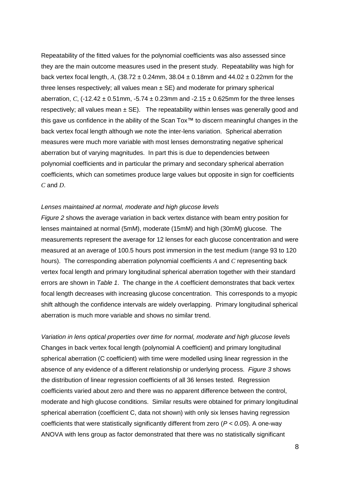Repeatability of the fitted values for the polynomial coefficients was also assessed since they are the main outcome measures used in the present study. Repeatability was high for back vertex focal length,  $A$ ,  $(38.72 \pm 0.24$ mm,  $38.04 \pm 0.18$ mm and  $44.02 \pm 0.22$ mm for the three lenses respectively; all values mean  $\pm$  SE) and moderate for primary spherical aberration, *C*,  $(-12.42 \pm 0.51$  mm,  $-5.74 \pm 0.23$  mm and  $-2.15 \pm 0.625$  mm for the three lenses respectively; all values mean  $\pm$  SE). The repeatability within lenses was generally good and this gave us confidence in the ability of the Scan Tox™ to discern meaningful changes in the back vertex focal length although we note the inter-lens variation. Spherical aberration measures were much more variable with most lenses demonstrating negative spherical aberration but of varying magnitudes. In part this is due to dependencies between polynomial coefficients and in particular the primary and secondary spherical aberration coefficients, which can sometimes produce large values but opposite in sign for coefficients *C* and *D*.

#### *Lenses maintained at normal, moderate and high glucose levels*

*Figure 2* shows the average variation in back vertex distance with beam entry position for lenses maintained at normal (5mM), moderate (15mM) and high (30mM) glucose. The measurements represent the average for 12 lenses for each glucose concentration and were measured at an average of 100.5 hours post immersion in the test medium (range 93 to 120 hours). The corresponding aberration polynomial coefficients *A* and *C* representing back vertex focal length and primary longitudinal spherical aberration together with their standard errors are shown in *Table 1*. The change in the *A* coefficient demonstrates that back vertex focal length decreases with increasing glucose concentration. This corresponds to a myopic shift although the confidence intervals are widely overlapping. Primary longitudinal spherical aberration is much more variable and shows no similar trend.

*Variation in lens optical properties over time for normal, moderate and high glucose levels* Changes in back vertex focal length (polynomial A coefficient) and primary longitudinal spherical aberration (C coefficient) with time were modelled using linear regression in the absence of any evidence of a different relationship or underlying process. *Figure 3* shows the distribution of linear regression coefficients of all 36 lenses tested. Regression coefficients varied about zero and there was no apparent difference between the control, moderate and high glucose conditions. Similar results were obtained for primary longitudinal spherical aberration (coefficient C, data not shown) with only six lenses having regression coefficients that were statistically significantly different from zero (*P < 0.05*). A one-way ANOVA with lens group as factor demonstrated that there was no statistically significant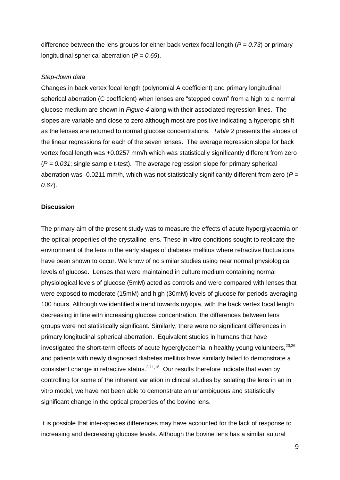difference between the lens groups for either back vertex focal length (*P = 0.73*) or primary longitudinal spherical aberration (*P = 0.69*).

#### *Step-down data*

Changes in back vertex focal length (polynomial A coefficient) and primary longitudinal spherical aberration (C coefficient) when lenses are "stepped down" from a high to a normal glucose medium are shown in *Figure 4* along with their associated regression lines. The slopes are variable and close to zero although most are positive indicating a hyperopic shift as the lenses are returned to normal glucose concentrations. *Table 2* presents the slopes of the linear regressions for each of the seven lenses. The average regression slope for back vertex focal length was +0.0257 mm/h which was statistically significantly different from zero (*P = 0.031*; single sample t-test). The average regression slope for primary spherical aberration was -0.0211 mm/h, which was not statistically significantly different from zero (*P = 0.67*).

#### **Discussion**

The primary aim of the present study was to measure the effects of acute hyperglycaemia on the optical properties of the crystalline lens. These in-vitro conditions sought to replicate the environment of the lens in the early stages of diabetes mellitus where refractive fluctuations have been shown to occur. We know of no similar studies using near normal physiological levels of glucose. Lenses that were maintained in culture medium containing normal physiological levels of glucose (5mM) acted as controls and were compared with lenses that were exposed to moderate (15mM) and high (30mM) levels of glucose for periods averaging 100 hours. Although we identified a trend towards myopia, with the back vertex focal length decreasing in line with increasing glucose concentration, the differences between lens groups were not statistically significant. Similarly, there were no significant differences in primary longitudinal spherical aberration. Equivalent studies in humans that have investigated the short-term effects of acute hyperglycaemia in healthy young volunteers,<sup>20,26</sup> and patients with newly diagnosed diabetes mellitus have similarly failed to demonstrate a consistent change in refractive status. $3,11,16$  Our results therefore indicate that even by controlling for some of the inherent variation in clinical studies by isolating the lens in an in vitro model, we have not been able to demonstrate an unambiguous and statistically significant change in the optical properties of the bovine lens.

It is possible that inter-species differences may have accounted for the lack of response to increasing and decreasing glucose levels. Although the bovine lens has a similar sutural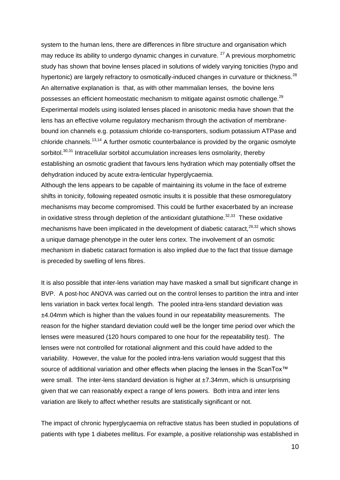system to the human lens, there are differences in fibre structure and organisation which may reduce its ability to undergo dynamic changes in curvature.  $27A$  previous morphometric study has shown that bovine lenses placed in solutions of widely varying tonicities (hypo and hypertonic) are largely refractory to osmotically-induced changes in curvature or thickness.<sup>28</sup> An alternative explanation is that, as with other mammalian lenses, the bovine lens possesses an efficient homeostatic mechanism to mitigate against osmotic challenge.<sup>29</sup> Experimental models using isolated lenses placed in anisotonic media have shown that the lens has an effective volume regulatory mechanism through the activation of membranebound ion channels e.g. potassium chloride co-transporters, sodium potassium ATPase and chloride channels.<sup>13,14</sup> A further osmotic counterbalance is provided by the organic osmolyte sorbitol.<sup>30,31</sup> Intracellular sorbitol accumulation increases lens osmolarity, thereby establishing an osmotic gradient that favours lens hydration which may potentially offset the dehydration induced by acute extra-lenticular hyperglycaemia.

Although the lens appears to be capable of maintaining its volume in the face of extreme shifts in tonicity, following repeated osmotic insults it is possible that these osmoregulatory mechanisms may become compromised. This could be further exacerbated by an increase in oxidative stress through depletion of the antioxidant glutathione. $32,33$  These oxidative mechanisms have been implicated in the development of diabetic cataract,  $29,32$  which shows a unique damage phenotype in the outer lens cortex. The involvement of an osmotic mechanism in diabetic cataract formation is also implied due to the fact that tissue damage is preceded by swelling of lens fibres.

It is also possible that inter-lens variation may have masked a small but significant change in BVP. A post-hoc ANOVA was carried out on the control lenses to partition the intra and inter lens variation in back vertex focal length. The pooled intra-lens standard deviation was ±4.04mm which is higher than the values found in our repeatability measurements. The reason for the higher standard deviation could well be the longer time period over which the lenses were measured (120 hours compared to one hour for the repeatability test). The lenses were not controlled for rotational alignment and this could have added to the variability. However, the value for the pooled intra-lens variation would suggest that this source of additional variation and other effects when placing the lenses in the ScanTox<sup>™</sup> were small. The inter-lens standard deviation is higher at  $\pm$ 7.34mm, which is unsurprising given that we can reasonably expect a range of lens powers. Both intra and inter lens variation are likely to affect whether results are statistically significant or not.

The impact of chronic hyperglycaemia on refractive status has been studied in populations of patients with type 1 diabetes mellitus. For example, a positive relationship was established in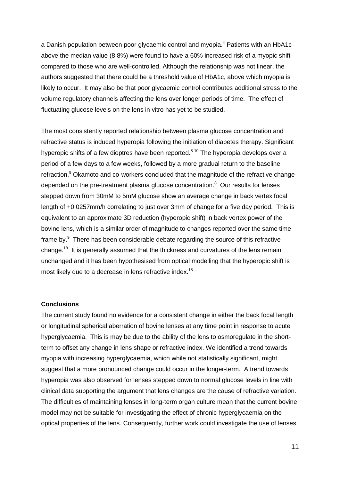a Danish population between poor glycaemic control and myopia.<sup>4</sup> Patients with an HbA1c above the median value (8.8%) were found to have a 60% increased risk of a myopic shift compared to those who are well-controlled. Although the relationship was not linear, the authors suggested that there could be a threshold value of HbA1c, above which myopia is likely to occur. It may also be that poor glycaemic control contributes additional stress to the volume regulatory channels affecting the lens over longer periods of time. The effect of fluctuating glucose levels on the lens in vitro has yet to be studied.

The most consistently reported relationship between plasma glucose concentration and refractive status is induced hyperopia following the initiation of diabetes therapy. Significant hyperopic shifts of a few dioptres have been reported.<sup>8-10</sup> The hyperopia develops over a period of a few days to a few weeks, followed by a more gradual return to the baseline refraction.<sup>9</sup> Okamoto and co-workers concluded that the magnitude of the refractive change depended on the pre-treatment plasma glucose concentration. $8$  Our results for lenses stepped down from 30mM to 5mM glucose show an average change in back vertex focal length of +0.0257mm/h correlating to just over 3mm of change for a five day period. This is equivalent to an approximate 3D reduction (hyperopic shift) in back vertex power of the bovine lens, which is a similar order of magnitude to changes reported over the same time frame by. $9$  There has been considerable debate regarding the source of this refractive change.<sup>18</sup> It is generally assumed that the thickness and curvatures of the lens remain unchanged and it has been hypothesised from optical modelling that the hyperopic shift is most likely due to a decrease in lens refractive index.<sup>18</sup>

#### **Conclusions**

The current study found no evidence for a consistent change in either the back focal length or longitudinal spherical aberration of bovine lenses at any time point in response to acute hyperglycaemia. This is may be due to the ability of the lens to osmoregulate in the shortterm to offset any change in lens shape or refractive index. We identified a trend towards myopia with increasing hyperglycaemia, which while not statistically significant, might suggest that a more pronounced change could occur in the longer-term. A trend towards hyperopia was also observed for lenses stepped down to normal glucose levels in line with clinical data supporting the argument that lens changes are the cause of refractive variation. The difficulties of maintaining lenses in long-term organ culture mean that the current bovine model may not be suitable for investigating the effect of chronic hyperglycaemia on the optical properties of the lens. Consequently, further work could investigate the use of lenses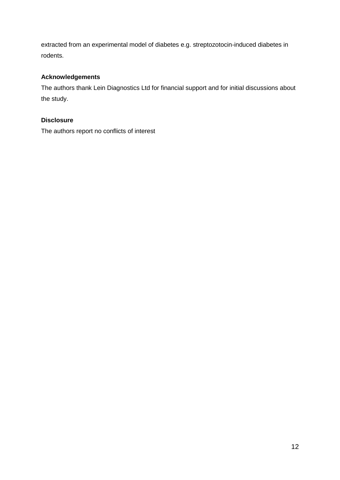extracted from an experimental model of diabetes e.g. streptozotocin-induced diabetes in rodents.

# **Acknowledgements**

The authors thank Lein Diagnostics Ltd for financial support and for initial discussions about the study.

# **Disclosure**

The authors report no conflicts of interest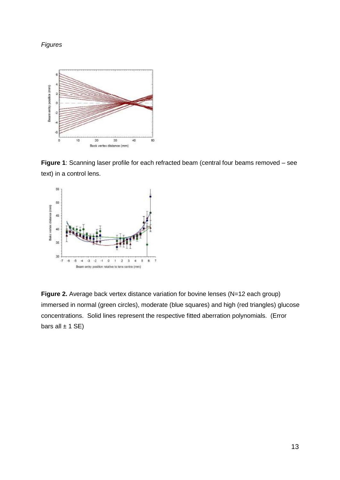### *Figures*



**Figure 1**: Scanning laser profile for each refracted beam (central four beams removed – see text) in a control lens.



**Figure 2.** Average back vertex distance variation for bovine lenses (N=12 each group) immersed in normal (green circles), moderate (blue squares) and high (red triangles) glucose concentrations. Solid lines represent the respective fitted aberration polynomials. (Error bars all  $\pm$  1 SE)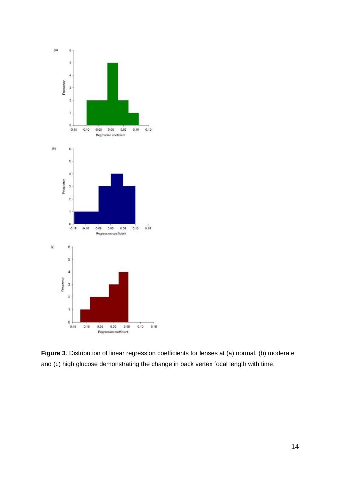

**Figure 3**. Distribution of linear regression coefficients for lenses at (a) normal, (b) moderate and (c) high glucose demonstrating the change in back vertex focal length with time.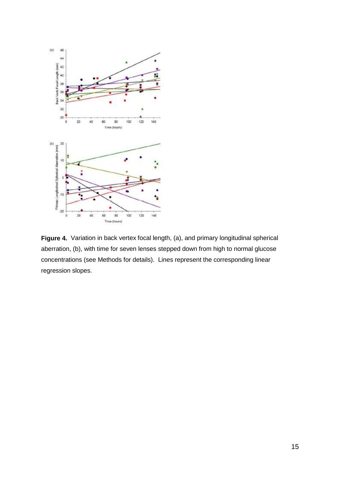

**Figure 4.** Variation in back vertex focal length, (a), and primary longitudinal spherical aberration, (b), with time for seven lenses stepped down from high to normal glucose concentrations (see Methods for details). Lines represent the corresponding linear regression slopes.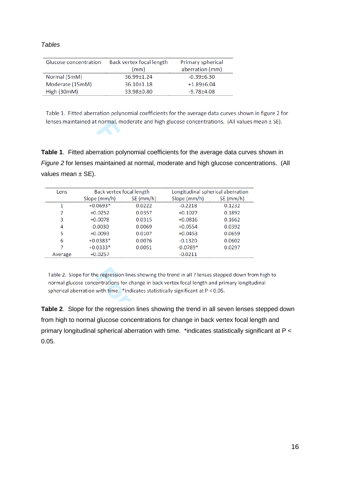| JI/<br>ı<br>Ш.<br>٠. |  |
|----------------------|--|
|----------------------|--|

| Glucose concentration | Back vertex focal length | Primary spherical |
|-----------------------|--------------------------|-------------------|
|                       | (mm)                     | aberration (mm)   |
| Normal (5mM)          | $36.99 \pm 1.24$         | $-0.39\pm 6.30$   |
| Moderate (15mM)       | $36.10 \pm 1.18$         | $+1.89\pm 6.04$   |
| High (30mM)           | 33.98±0.80               | $-9.78 + 4.08$    |
|                       |                          |                   |

Table 1. Fitted aberration polynomial coefficients for the average data curves shown in figure 2 for lenses maintained at normal, moderate and high glucose concentrations. (All values mean ± SE).

**Table 1**. Fitted aberration polynomial coefficients for the average data curves shown in *Figure 2* for lenses maintained at normal, moderate and high glucose concentrations. (All values mean  $\pm$  SE).

| Lens    | Back vertex focal length |             | Longitudinal spherical aberration |             |
|---------|--------------------------|-------------|-----------------------------------|-------------|
|         | Slope (mm/h)             | $SE$ (mm/h) | Slope (mm/h)                      | $SE$ (mm/h) |
| 1       | $+0.0693*$               | 0.0222      | $-0.2218$                         | 0.1232      |
| 2       | $+0.0252$                | 0.0357      | $+0.1027$                         | 0.1892      |
| 3       | $+0.0078$                | 0.0315      | $+0.0816$                         | 0.1662      |
| 4       | $-0.0030$                | 0.0069      | $+0.0554$                         | 0.0392      |
| 5       | $+0.0093$                | 0.0107      | $+0.0453$                         | 0.0659      |
| 6       | $+0.0383*$               | 0.0076      | $-0.1320$                         | 0.0602      |
| 7       | $+0.0333*$               | 0.0051      | $-0.0789*$                        | 0.0297      |
| Average | $+0.0257$                |             | $-0.0211$                         |             |

Table 2. Slope for the regression lines showing the trend in all 7 lenses stepped down from high to normal glucose concentrations for change in back vertex focal length and primary longitudinal spherical aberration with time.  $*$  indicates statistically significant at  $P < 0.05$ .

**Table 2**. Slope for the regression lines showing the trend in all seven lenses stepped down from high to normal glucose concentrations for change in back vertex focal length and primary longitudinal spherical aberration with time. \*indicates statistically significant at P < 0.05.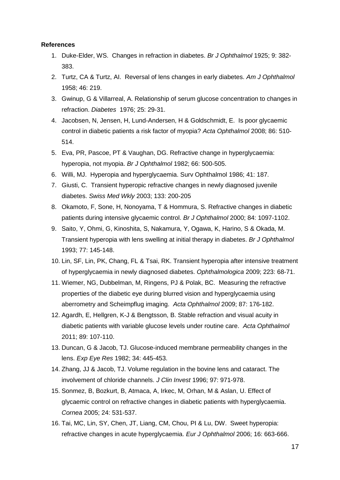#### **References**

- 1. Duke-Elder, WS. Changes in refraction in diabetes. *Br J Ophthalmol* 1925; 9: 382- 383.
- 2. Turtz, CA & Turtz, AI. Reversal of lens changes in early diabetes. *Am J Ophthalmol* 1958; 46: 219.
- 3. Gwinup, G & Villarreal, A. Relationship of serum glucose concentration to changes in refraction. *Diabetes* 1976; 25: 29-31.
- 4. Jacobsen, N, Jensen, H, Lund-Andersen, H & Goldschmidt, E. Is poor glycaemic control in diabetic patients a risk factor of myopia? *Acta Ophthalmol* 2008; 86: 510- 514.
- 5. Eva, PR, Pascoe, PT & Vaughan, DG. Refractive change in hyperglycaemia: hyperopia, not myopia. *Br J Ophthalmol* 1982; 66: 500-505.
- 6. Willi, MJ. Hyperopia and hyperglycaemia. Surv Ophthalmol 1986; 41: 187.
- 7. Giusti, C. Transient hyperopic refractive changes in newly diagnosed juvenile diabetes. *Swiss Med Wkly* 2003; 133: 200-205
- 8. Okamoto, F, Sone, H, Nonoyama, T & Hommura, S. Refractive changes in diabetic patients during intensive glycaemic control. *Br J Ophthalmol* 2000; 84: 1097-1102.
- 9. Saito, Y, Ohmi, G, Kinoshita, S, Nakamura, Y, Ogawa, K, Harino, S & Okada, M. Transient hyperopia with lens swelling at initial therapy in diabetes. *Br J Ophthalmol* 1993; 77: 145-148.
- 10. Lin, SF, Lin, PK, Chang, FL & Tsai, RK. Transient hyperopia after intensive treatment of hyperglycaemia in newly diagnosed diabetes. *Ophthalmologica* 2009; 223: 68-71.
- 11. Wiemer, NG, Dubbelman, M, Ringens, PJ & Polak, BC. Measuring the refractive properties of the diabetic eye during blurred vision and hyperglycaemia using aberrometry and Scheimpflug imaging. *Acta Ophthalmol* 2009; 87: 176-182.
- 12. Agardh, E, Hellgren, K-J & Bengtsson, B. Stable refraction and visual acuity in diabetic patients with variable glucose levels under routine care. *Acta Ophthalmol* 2011; 89: 107-110.
- 13. Duncan, G & Jacob, TJ. Glucose-induced membrane permeability changes in the lens. *Exp Eye Res* 1982; 34: 445-453.
- 14. Zhang, JJ & Jacob, TJ. Volume regulation in the bovine lens and cataract. The involvement of chloride channels. *J Clin Invest* 1996; 97: 971-978.
- 15. Sonmez, B, Bozkurt, B, Atmaca, A, Irkec, M, Orhan, M & Aslan, U. Effect of glycaemic control on refractive changes in diabetic patients with hyperglycaemia. *Cornea* 2005; 24: 531-537.
- 16. Tai, MC, Lin, SY, Chen, JT, Liang, CM, Chou, PI & Lu, DW. Sweet hyperopia: refractive changes in acute hyperglycaemia. *Eur J Ophthalmol* 2006; 16: 663-666.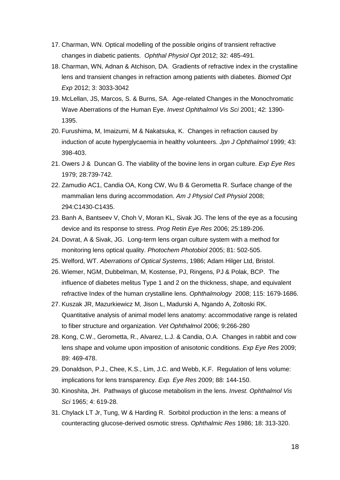- 17. Charman, WN. Optical modelling of the possible origins of transient refractive changes in diabetic patients. *Ophthal Physiol Opt* 2012; 32: 485-491.
- 18. Charman, WN, Adnan & Atchison, DA. Gradients of refractive index in the crystalline lens and transient changes in refraction among patients with diabetes*. Biomed Opt Exp* 2012; 3: 3033-3042
- 19. McLellan, JS, Marcos, S. & Burns, SA. Age-related Changes in the Monochromatic Wave Aberrations of the Human Eye. *Invest Ophthalmol Vis Sci* 2001; 42: 1390- 1395.
- 20. Furushima, M, Imaizumi, M & Nakatsuka, K. Changes in refraction caused by induction of acute hyperglycaemia in healthy volunteers. *Jpn J Ophthalmol* 1999; 43: 398-403.
- 21. Owers J & Duncan G. The viability of the bovine lens in organ culture. *Exp Eye Res* 1979; 28:739-742.
- 22. Zamudio AC1, Candia OA, Kong CW, Wu B & Gerometta R. Surface change of the mammalian lens during accommodation. *Am J Physiol Cell Physiol* 2008; 294:C1430-C1435.
- 23. Banh A, Bantseev V, Choh V, Moran KL, Sivak JG. The lens of the eye as a focusing device and its response to stress. *Prog Retin Eye Res* 2006; 25:189-206.
- 24. Dovrat, A & Sivak, JG. Long-term lens organ culture system with a method for monitoring lens optical quality. *Photochem Photobiol* 2005; 81: 502-505.
- 25. Welford, WT. *Aberrations of Optical Systems*, 1986; Adam Hilger Ltd, Bristol.
- 26. Wiemer, NGM, Dubbelman, M, Kostense, PJ, Ringens, PJ & Polak, BCP. The influence of diabetes melitus Type 1 and 2 on the thickness, shape, and equivalent refractive Index of the human crystalline lens. *Ophthalmology* 2008; 115: 1679-1686.
- 27. Kuszak JR, Mazurkiewicz M, Jison L, Madurski A, Ngando A, Zoltoski RK. Quantitative analysis of animal model lens anatomy: accommodative range is related to fiber structure and organization. *Vet Ophthalmol* 2006; 9:266-280
- 28. Kong, C.W., Gerometta, R., Alvarez, L.J. & Candia, O.A. Changes in rabbit and cow lens shape and volume upon imposition of anisotonic conditions. *Exp Eye Res* 2009; 89: 469-478.
- 29. Donaldson, P.J., Chee, K.S., Lim, J.C. and Webb, K.F. Regulation of lens volume: implications for lens transparency. *Exp. Eye Res* 2009; 88: 144-150.
- 30. Kinoshita, JH. Pathways of glucose metabolism in the lens. *Invest. Ophthalmol Vis Sci* 1965; 4: 619-28.
- 31. Chylack LT Jr, Tung, W & Harding R. Sorbitol production in the lens: a means of counteracting glucose-derived osmotic stress. *Ophthalmic Res* 1986; 18: 313-320.